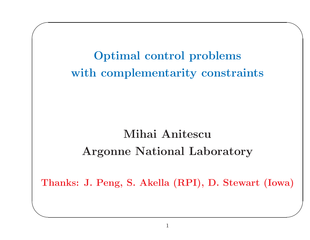**Optimal control problems** with complementarity constraints

# Mihai Anitescu **Argonne National Laboratory**

Thanks: J. Peng, S. Akella (RPI), D. Stewart (Iowa)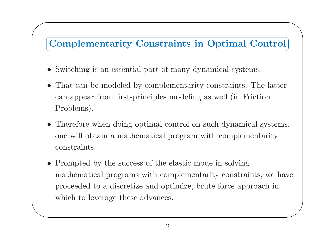## $\sum_{i=1}^n$ ✞ ☎ **Complementarity Constraints in Optimal Control** ✝✆

• Switching is an essential part of many dynamical systems.

 $\bigg($ 

- • That can be modeled by complementarity constraints. The latter can appear from first-principles modeling as well (in Friction Problems).
- Therefore when doing optimal control on such dynamical systems, one will obtain <sup>a</sup> mathematical program with complementarity constraints.
- $\setminus$  $\bigg)$ • Prompted by the success of the elastic mode in solving mathematical programs with complementarity constraints, we have proceeded to <sup>a</sup> discretize and optimize, brute force approach in which to leverage these advances.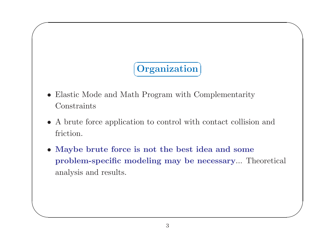# Organization

- Elastic Mode and Math Program with Complementarity Constraints
- A brute force application to control with contact collision and friction.
- Maybe brute force is not the best idea and some problem-specific modeling may be necessary... Theoretical analysis and results.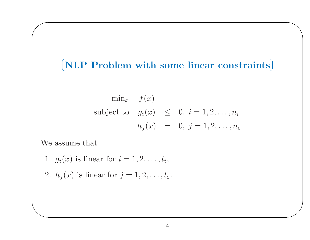## $(NLP$  Problem with some linear constraints)

$$
\min_{x} f(x)
$$
  
subject to  $g_i(x) \leq 0, i = 1, 2, ..., n_i$   

$$
h_j(x) = 0, j = 1, 2, ..., n_e
$$

We assume that

- 1.  $g_i(x)$  is linear for  $i = 1, 2, ..., l_i$ ,
- 2.  $h_j(x)$  is linear for  $j = 1, 2, ..., l_e$ .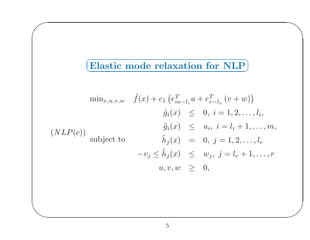### $\subset$  $\fbox{\textbf{Elastic mode relaxation for NLP}}$

 $\bigwedge$ 

 $\bigg)$ 

 $\bigg($ 

$$
\min_{x,u,v,w} \quad \tilde{f}(x) + c_1 \left( e_{m-l_i}^T u + e_{r-l_e}^T (v+w) \right)
$$
\n
$$
\tilde{g}_i(x) \leq 0, \ i = 1, 2, \dots, l_i,
$$
\n
$$
\tilde{g}_i(x) \leq u_i, \ i = l_i + 1, \dots, m,
$$
\n
$$
\tilde{h}_j(x) = 0, \ j = 1, 2, \dots, l_e
$$
\n
$$
-v_j \leq \tilde{h}_j(x) \leq w_j, \ j = l_e + 1, \dots, r
$$
\n
$$
u, v, w \geq 0,
$$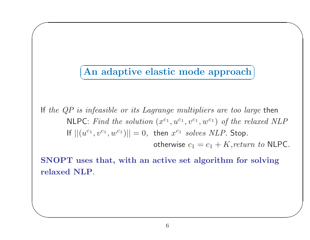### ✞ ☎ **An adaptive elastic mode approach** ✝✆

 $\bigg($ 

 $\setminus$ 

If *the QP is infeasible or its Lagrange multipliers are too large* then  $\mathsf{NLPC}\text{:}~Find~the~solution~(x^{c_1},u^{c_1},v^{c_1},w^{c_1})~of~the~relaxed~NLP$  $||f||(u^{c_1}, v^{c_1}, w^{c_1})|| = 0,$  then  $x^{c_1}$  solves  $NLP.$  Stop.

 $\text{otherwise} \,\, c_1 = c_1 + K, \text{return} \,\, to \,\, \textsf{NLPC}.$ 

 $\bigwedge$ 

 $\bigg)$ 

**SNOPT uses that, with an active set algorithm for solving relaxed NLP**.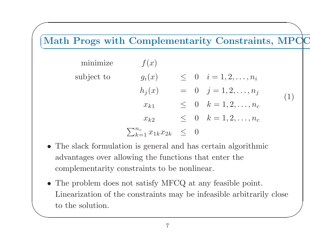## $\sqrt{a}$ ✩ ✞ ☎ **Math Progs with Complementarity Constraints, MPC** ✆✝**C**

| minimize   | f(x)                                    |  |                                   |     |
|------------|-----------------------------------------|--|-----------------------------------|-----|
| subject to | $g_i(x)$                                |  | $\leq 0 \quad i=1,2,\ldots,n_i$   |     |
|            | $h_i(x)$                                |  | $= 0 \quad j = 1, 2, \ldots, n_j$ | (1) |
|            | $x_{k1}$                                |  | $\leq 0 \quad k=1,2,\ldots,n_c$   |     |
|            | $x_{k2}$                                |  | $\leq 0 \quad k=1,2,\ldots,n_c$   |     |
|            | $\sum_{k=1}^{n_c} x_{1k} x_{2k} \leq 0$ |  |                                   |     |

- The slack formulation is general and has certain algorithmic advantages over allowing the functions that enter the complementarity constraints to be nonlinear.
- $\setminus$  $\bigg)$ • The problem does not satisfy MFCQ at any feasible point. Linearization of the constraints may be infeasible arbitrarily close to the solution.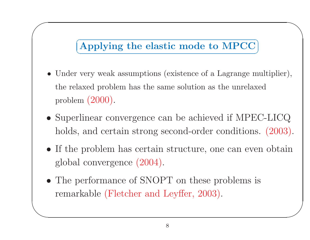### ✞ ☎ **Applying the elastic mode to MPCC** ✝✆

 $\bigwedge$ 

 $\bigg)$ 

 $\bigg($ 

- Under very weak assumptions (existence of <sup>a</sup> Lagrange multiplier), the relaxed problem has the same solution as the unrelaxed problem (2000).
- Superlinear convergence can be achieved if MPEC-LICQ holds, and certain strong second-order conditions.  $(2003)$ .
- If the problem has certain structure, one can even obtain <sup>g</sup>lobal convergence (2004).
- The performance of SNOPT on these problems is remarkable (Fletcher and Leyffer, 2003).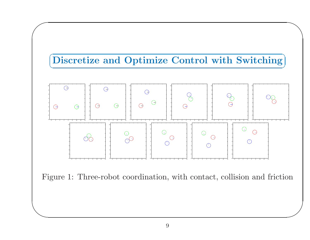

 $\bigwedge$ 

 $\bigg)$ 

 $\bigg($ 



Figure 1: Three-robot coordination, with contact, collision and friction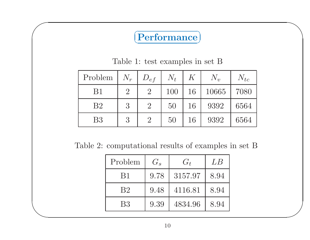### $\subset$  $\fbox{Performance} \bigg)$

 $\bigwedge$ 

 $\bigg)$ 

 $\bigg($ 

Table 1: test examples in set B

| Problem        | $N_r$          | $D_{ef}$       | $N_t$ | $K \$ | $N_{v}$ | $N_{tc}$ |
|----------------|----------------|----------------|-------|-------|---------|----------|
| B1             | $\overline{2}$ | $\overline{2}$ | 100   | 16    | 10665   | 7080     |
| B <sub>2</sub> | 3              | $\overline{2}$ | 50    | 16    | 9392    | 6564     |
| B <sub>3</sub> | 3              | $\overline{2}$ | 50    | 16    | 9392    | 6564     |

Table 2: computational results of examples in set B

| Problem        | $G_s$ | $G_t$   | LB   |
|----------------|-------|---------|------|
| <b>B</b> 1     | 9.78  | 3157.97 | 8.94 |
| B <sub>2</sub> | 9.48  | 4116.81 | 8.94 |
| <b>B</b> 3     | 9.39  | 4834.96 | 8.94 |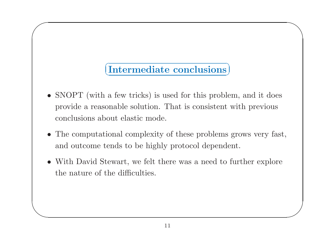### $\subset$  $\left(\text{Intermediate conclusions}\right)$

 $\bigwedge$ 

 $\bigg)$ 

 $\bigg($ 

- SNOPT (with a few tricks) is used for this problem, and it does provide <sup>a</sup> reasonable solution. That is consistent with previous conclusions about elastic mode.
- The computational complexity of these problems grows very fast, and outcome tends to be highly protocol dependent.
- With David Stewart, we felt there was <sup>a</sup> need to further explore the nature of the difficulties.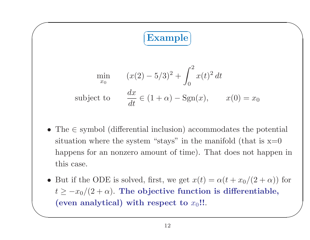#### $\subset$ ✝☎ **Example** ✆

 $\bigwedge$ 

 $\bigg($ 

$$
\min_{x_0} \qquad (x(2) - 5/3)^2 + \int_0^2 x(t)^2 dt
$$
\n
$$
\text{subject to} \qquad \frac{dx}{dt} \in (1 + \alpha) - \text{Sgn}(x), \qquad x(0) = x_0
$$

- The <sup>∈</sup> symbol (differential inclusion) accommodates the potential situation where the system "stays" in the manifold (that is  $x=0$ happens for an nonzero amount of time). That does not happen in this case.
- $\setminus$  $\bigg)$ • But if the ODE is solved, first, we get  $x(t) = \alpha(t + x_0/(2 + \alpha))$  for  $t \geq -x_0/(2+\alpha)$ . The <code>objective function</code> is differentiable, (even analytical) with respect to  $x_0$ !!.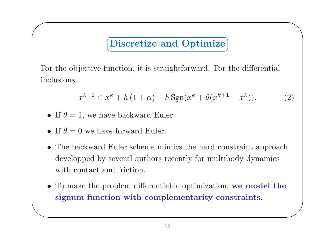#### $\subset$ ✝☎ ✆ **Discretize and Optimize**

For the objective function, it is straightforward. For the differential inclusions

$$
x^{k+1} \in x^k + h(1+\alpha) - h \operatorname{Sgn}(x^k + \theta(x^{k+1} - x^k)).
$$
 (2)

 $\bigwedge$ 

- If  $\theta = 1$ , we have backward Euler.
- If  $\theta = 0$  we have forward Euler.

 $\bigg($ 

- The backward Euler scheme mimics the hard constraint approach developped by several authors recently for multibody dynamics with contact and friction.
- $\setminus$  $\bigg)$ • To make the problem differentiable optimization, **we model the signum function with complementarity constraints**.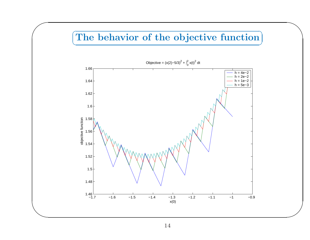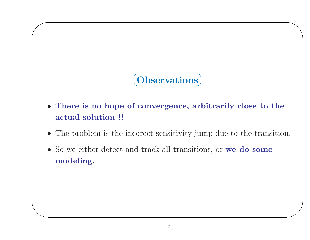## **Observations**

- There is no hope of convergence, arbitrarily close to the actual solution !!
- The problem is the incorect sensitivity jump due to the transition.
- So we either detect and track all transitions, or we do some modeling.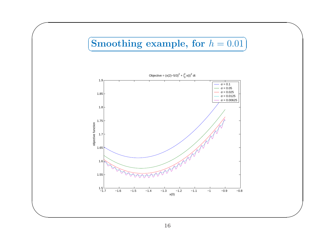#### $\subset$ ✝☎  $\textbf{Smoothing example, for } h = 0.01 \text{,}$

 $\bigwedge$ 

 $\bigg)$ 

 $\bigg($ 

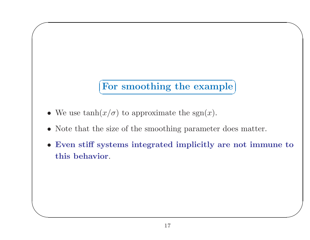## For smoothing the example

- We use  $\tanh(x/\sigma)$  to approximate the sgn(x).
- Note that the size of the smoothing parameter does matter.
- Even stiff systems integrated implicitly are not immune to this behavior.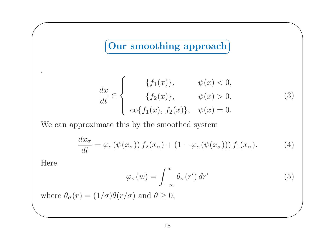#### $\subset$ ✝☎ ✆ **Our smoothing approach**

$$
\frac{dx}{dt} \in \begin{cases}\n\{f_1(x)\}, & \psi(x) < 0, \\
\{f_2(x)\}, & \psi(x) > 0, \\
\cos\{f_1(x), f_2(x)\}, & \psi(x) = 0.\n\end{cases}
$$
\n(3)

 $\bigwedge$ 

 $\bigg)$ 

We can approximate this by the smoothed system

$$
\frac{dx_{\sigma}}{dt} = \varphi_{\sigma}(\psi(x_{\sigma})) f_2(x_{\sigma}) + (1 - \varphi_{\sigma}(\psi(x_{\sigma}))) f_1(x_{\sigma}). \tag{4}
$$

Here

 $\bigg($ 

.

$$
\varphi_{\sigma}(w) = \int_{-\infty}^{w} \theta_{\sigma}(r') dr' \tag{5}
$$

 $\setminus$ where  $\theta_{\sigma}(r) = (1/\sigma)\theta(r/\sigma)$  and  $\theta \geq 0$ ,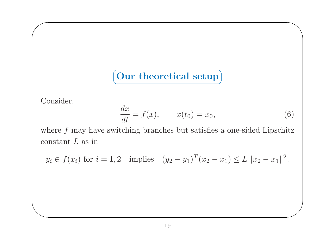$\sqrt{2\pi}$ ✝ $\boxed{\text{Our theoretical setup}}$ 

Consider.

 $\bigg($ 

 $\setminus$ 

$$
\frac{dx}{dt} = f(x), \qquad x(t_0) = x_0,\tag{6}
$$

 $\bigwedge$ 

 $\bigg)$ 

where *f* may have switching branches but satisfies a one-sided Lipschitz constant *L* as in

 $y_i \in f(x_i)$  for  $i = 1, 2$  implies  $(y_2 - y_1)^T (x_2 - x_1) \le L \|x_2 - x_1\|^2$ .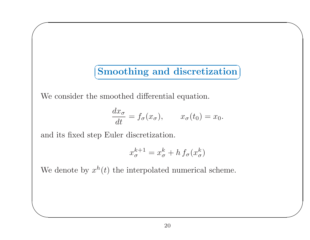#### $\subset$ ✝☎ ✆ **Smoothing and discretization**

 $\bigwedge$ 

 $\bigg)$ 

We consider the smoothed differential equation.

$$
\frac{dx_{\sigma}}{dt} = f_{\sigma}(x_{\sigma}), \qquad x_{\sigma}(t_0) = x_0.
$$

and its fixed step Euler discretization.

 $\bigg($ 

 $\setminus$ 

$$
x_\sigma^{k+1} = x_\sigma^k + h\, f_\sigma(x_\sigma^k)
$$

We denote by  $x^h(t)$  the interpolated numerical scheme.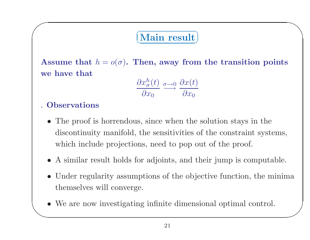### $\subset$  $\left(\text{Main result}\right)$

 $\bigwedge$ 

 $\bigg)$ 

 $\bf A$ ssume that  $h = o(\sigma)$ . Then, away from the transition points **we have that**

$$
\frac{\partial x_{\sigma}^{h}(t)}{\partial x_{0}} \xrightarrow{\sigma \to 0} \frac{\partial x(t)}{\partial x_{0}}
$$

## . **Observations**

 $\bigg($ 

- The proof is horrendous, since when the solution stays in the discontinuity manifold, the sensitivities of the constraint systems, which include projections, need to pop out of the proof.
- A similar result holds for adjoints, and their jump is computable.
- Under regularity assumptions of the objective function, the minima themselves will converge.
- $\begin{pmatrix} 1 & 1 \\ 1 & 1 \end{pmatrix}$ • We are now investigating infinite dimensional optimal control.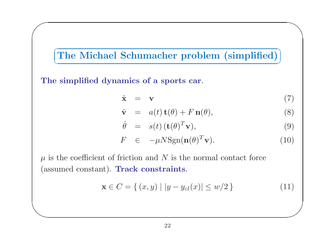✞ ☎ **The Michael Schumacher problem (simplified)** ✝✆

**The simplified dynamics of <sup>a</sup> sports car**.

 $\bigg($ 

 $\setminus$ 

$$
\dot{\mathbf{x}} = \mathbf{v} \tag{7}
$$

 $\bigwedge$ 

 $\bigg)$ 

$$
\dot{\mathbf{v}} = a(t)\,\mathbf{t}(\theta) + F\,\mathbf{n}(\theta),\tag{8}
$$

$$
\dot{\theta} = s(t) (\mathbf{t}(\theta)^T \mathbf{v}), \qquad (9)
$$

$$
F \in -\mu N \text{Sgn}(\mathbf{n}(\theta)^T \mathbf{v}). \tag{10}
$$

 $\mu$  is the coefficient of friction and  $N$  is the normal contact force (assumed constant). **Track constraints**.

$$
\mathbf{x} \in C = \{ (x, y) \mid |y - y_{cl}(x)| \le w/2 \}
$$
 (11)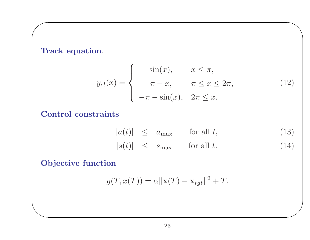**Track equation**.

 $\bigg($ 

 $\setminus$ 

$$
y_{cl}(x) = \begin{cases} \sin(x), & x \le \pi, \\ \pi - x, & \pi \le x \le 2\pi, \\ -\pi - \sin(x), & 2\pi \le x. \end{cases}
$$
(12)

 $\bigwedge$ 

 $\bigg)$ 

## **Control constraints**

$$
|a(t)| \le a_{\max} \quad \text{for all } t,
$$
  
\n
$$
|s(t)| \le s_{\max} \quad \text{for all } t.
$$
 (13)

**Objective function**

$$
g(T, x(T)) = \alpha ||\mathbf{x}(T) - \mathbf{x}_{tgt}||^2 + T.
$$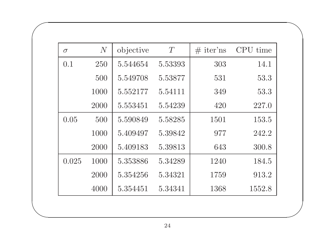| $\sigma$ | N    | objective | T       | $#$ iter'ns | CPU time |
|----------|------|-----------|---------|-------------|----------|
| 0.1      | 250  | 5.544654  | 5.53393 | 303         | 14.1     |
|          | 500  | 5.549708  | 5.53877 | 531         | 53.3     |
|          | 1000 | 5.552177  | 5.54111 | 349         | 53.3     |
|          | 2000 | 5.553451  | 5.54239 | 420         | 227.0    |
| 0.05     | 500  | 5.590849  | 5.58285 | 1501        | 153.5    |
|          | 1000 | 5.409497  | 5.39842 | 977         | 242.2    |
|          | 2000 | 5.409183  | 5.39813 | 643         | 300.8    |
| 0.025    | 1000 | 5.353886  | 5.34289 | 1240        | 184.5    |
|          | 2000 | 5.354256  | 5.34321 | 1759        | 913.2    |
|          | 4000 | 5.354451  | 5.34341 | 1368        | 1552.8   |

 $\bigwedge$ 

 $\bigg)$ 

 $\bigg($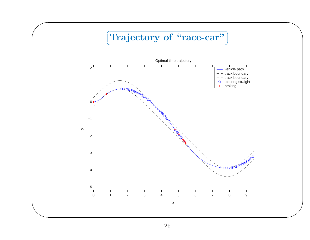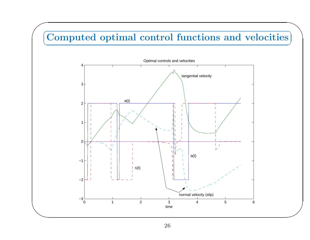### $\sqrt{6}$  $\bigcap$  $\subset$ ✝☎ ✆ **Computed optimal control functions and velocities**



 $\bigg)$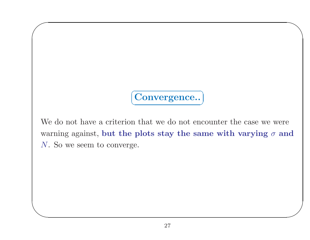Convergence..

We do not have a criterion that we do not encounter the case we were warning against, but the plots stay the same with varying  $\sigma$  and  $N$ . So we seem to converge.